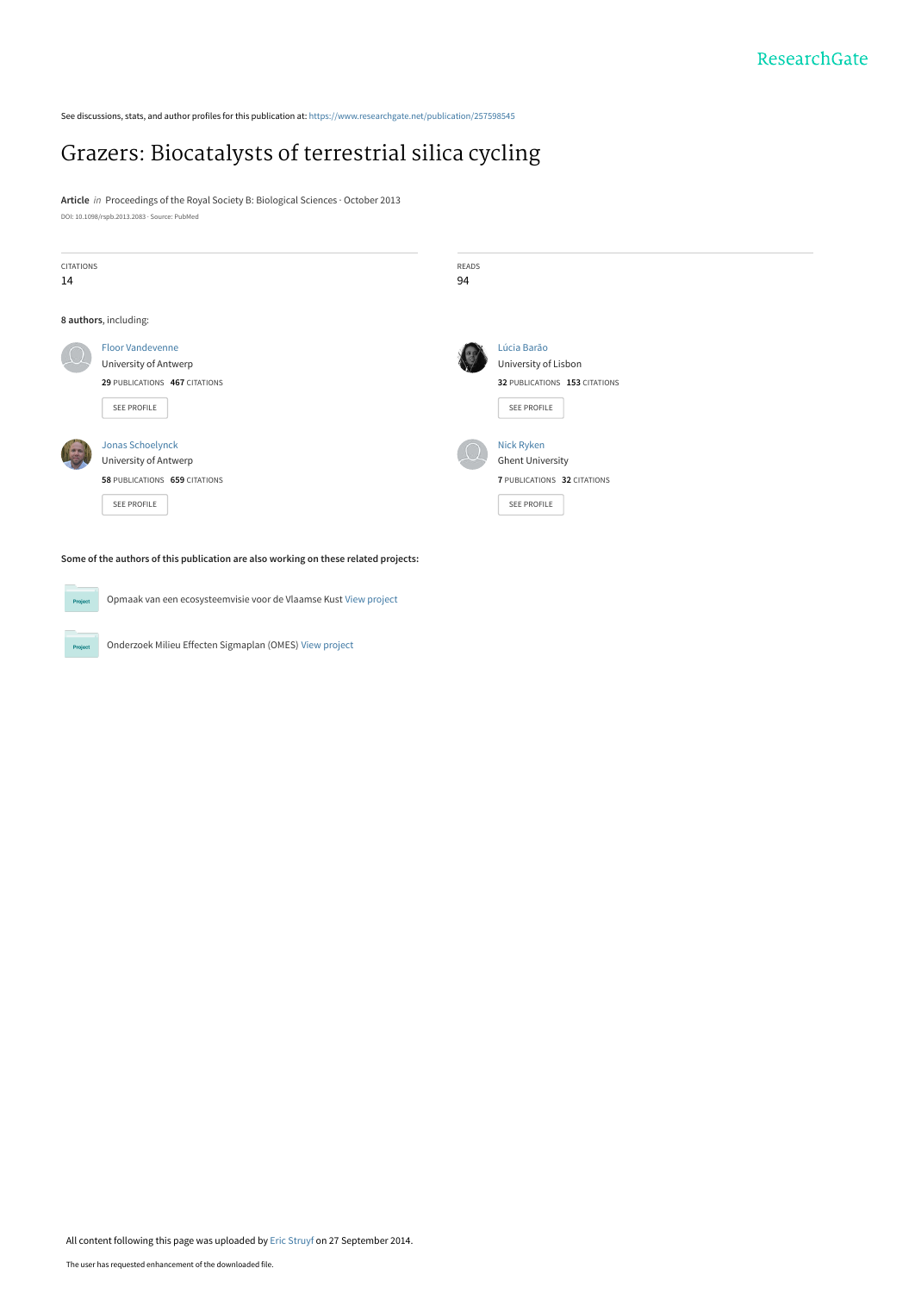See discussions, stats, and author profiles for this publication at: [https://www.researchgate.net/publication/257598545](https://www.researchgate.net/publication/257598545_Grazers_Biocatalysts_of_terrestrial_silica_cycling?enrichId=rgreq-72465003c24fc41d5cea8fae58b39bb5-XXX&enrichSource=Y292ZXJQYWdlOzI1NzU5ODU0NTtBUzoxNDU5NDQ2MDM1MzMzMTJAMTQxMTgwNzMxMzE2Mw%3D%3D&el=1_x_2&_esc=publicationCoverPdf)

## [Grazers: Biocatalysts of terrestrial silica cycling](https://www.researchgate.net/publication/257598545_Grazers_Biocatalysts_of_terrestrial_silica_cycling?enrichId=rgreq-72465003c24fc41d5cea8fae58b39bb5-XXX&enrichSource=Y292ZXJQYWdlOzI1NzU5ODU0NTtBUzoxNDU5NDQ2MDM1MzMzMTJAMTQxMTgwNzMxMzE2Mw%3D%3D&el=1_x_3&_esc=publicationCoverPdf)

**Article** in Proceedings of the Royal Society B: Biological Sciences · October 2013 DOI: 10.1098/rspb.2013.2083 · Source: PubMed

| <b>CITATIONS</b><br>14                                                              |                                                                                                  | READS<br>94 |                                                                                            |  |  |  |  |
|-------------------------------------------------------------------------------------|--------------------------------------------------------------------------------------------------|-------------|--------------------------------------------------------------------------------------------|--|--|--|--|
|                                                                                     | 8 authors, including:                                                                            |             |                                                                                            |  |  |  |  |
|                                                                                     | <b>Floor Vandevenne</b><br>University of Antwerp<br>29 PUBLICATIONS 467 CITATIONS<br>SEE PROFILE |             | Lúcia Barão<br>University of Lisbon<br>32 PUBLICATIONS 153 CITATIONS<br><b>SEE PROFILE</b> |  |  |  |  |
|                                                                                     | Jonas Schoelynck<br>University of Antwerp<br>58 PUBLICATIONS 659 CITATIONS<br>SEE PROFILE        |             | Nick Ryken<br><b>Ghent University</b><br>7 PUBLICATIONS 32 CITATIONS<br><b>SEE PROFILE</b> |  |  |  |  |
| Some of the authors of this publication are also working on these related projects: |                                                                                                  |             |                                                                                            |  |  |  |  |

Project Opmaak van een ecosysteemvisie voor de Vlaamse Kust [View project](https://www.researchgate.net/project/Opmaak-van-een-ecosysteemvisie-voor-de-Vlaamse-Kust?enrichId=rgreq-72465003c24fc41d5cea8fae58b39bb5-XXX&enrichSource=Y292ZXJQYWdlOzI1NzU5ODU0NTtBUzoxNDU5NDQ2MDM1MzMzMTJAMTQxMTgwNzMxMzE2Mw%3D%3D&el=1_x_9&_esc=publicationCoverPdf) Project

Onderzoek Milieu Effecten Sigmaplan (OMES) [View project](https://www.researchgate.net/project/Onderzoek-Milieu-Effecten-Sigmaplan-OMES?enrichId=rgreq-72465003c24fc41d5cea8fae58b39bb5-XXX&enrichSource=Y292ZXJQYWdlOzI1NzU5ODU0NTtBUzoxNDU5NDQ2MDM1MzMzMTJAMTQxMTgwNzMxMzE2Mw%3D%3D&el=1_x_9&_esc=publicationCoverPdf)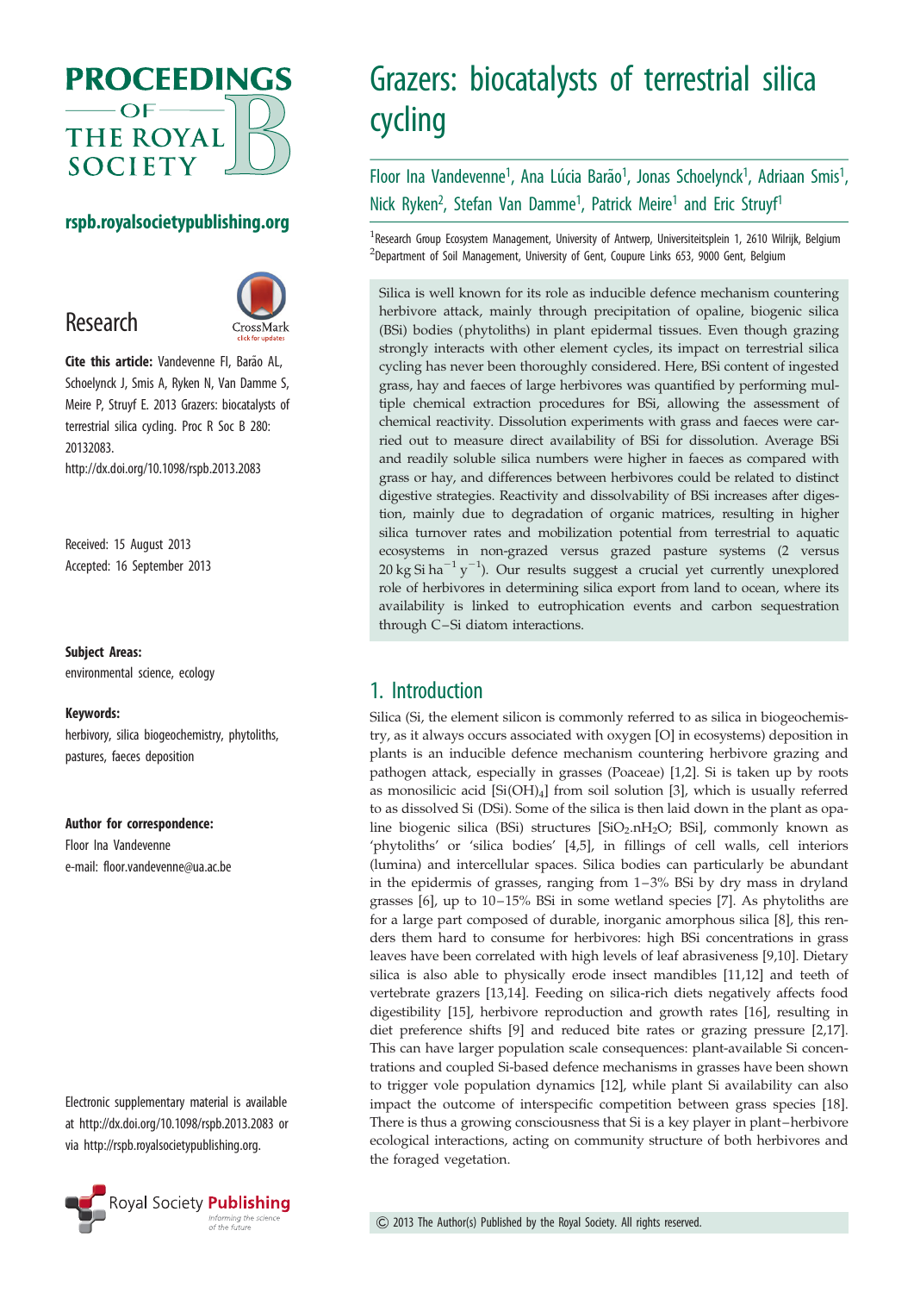

## rspb.royalsocietypublishing.org





Cite this article: Vandevenne FI, Barão AL, Schoelynck J, Smis A, Ryken N, Van Damme S, Meire P, Struyf E. 2013 Grazers: biocatalysts of terrestrial silica cycling. Proc R Soc B 280: 20132083.

http://dx.doi.org/10.1098/rspb.2013.2083

Received: 15 August 2013 Accepted: 16 September 2013

Subject Areas:

environmental science, ecology

#### Keywords:

herbivory, silica biogeochemistry, phytoliths, pastures, faeces deposition

#### Author for correspondence:

Floor Ina Vandevenne e-mail: [floor.vandevenne@ua.ac.be](mailto:floor.vandevenne@ua.ac.be)

Electronic supplementary material is available at<http://dx.doi.org/10.1098/rspb.2013.2083> or via<http://rspb.royalsocietypublishing.org>.



# Grazers: biocatalysts of terrestrial silica cycling

Floor Ina Vandevenne<sup>1</sup>, Ana Lúcia Barão<sup>1</sup>, Jonas Schoelynck<sup>1</sup>, Adriaan Smis<sup>1</sup> , Nick Ryken<sup>2</sup>, Stefan Van Damme<sup>1</sup>, Patrick Meire<sup>1</sup> and Eric Struyf<sup>1</sup>

<sup>1</sup> Research Group Ecosystem Management, University of Antwerp, Universiteitsplein 1, 2610 Wilrijk, Belgium <sup>2</sup>Department of Soil Management, University of Gent, Coupure Links 653, 9000 Gent, Belgium

Silica is well known for its role as inducible defence mechanism countering herbivore attack, mainly through precipitation of opaline, biogenic silica (BSi) bodies (phytoliths) in plant epidermal tissues. Even though grazing strongly interacts with other element cycles, its impact on terrestrial silica cycling has never been thoroughly considered. Here, BSi content of ingested grass, hay and faeces of large herbivores was quantified by performing multiple chemical extraction procedures for BSi, allowing the assessment of chemical reactivity. Dissolution experiments with grass and faeces were carried out to measure direct availability of BSi for dissolution. Average BSi and readily soluble silica numbers were higher in faeces as compared with grass or hay, and differences between herbivores could be related to distinct digestive strategies. Reactivity and dissolvability of BSi increases after digestion, mainly due to degradation of organic matrices, resulting in higher silica turnover rates and mobilization potential from terrestrial to aquatic ecosystems in non-grazed versus grazed pasture systems (2 versus 20 kg Si ha<sup>-1</sup> y<sup>-1</sup>). Our results suggest a crucial yet currently unexplored role of herbivores in determining silica export from land to ocean, where its availability is linked to eutrophication events and carbon sequestration through C–Si diatom interactions.

## 1. Introduction

Silica (Si, the element silicon is commonly referred to as silica in biogeochemistry, as it always occurs associated with oxygen [O] in ecosystems) deposition in plants is an inducible defence mechanism countering herbivore grazing and pathogen attack, especially in grasses (Poaceae) [\[1,2\]](#page-7-0). Si is taken up by roots as monosilicic acid  $[Si(OH)_4]$  from soil solution  $[3]$  $[3]$  $[3]$ , which is usually referred to as dissolved Si (DSi). Some of the silica is then laid down in the plant as opaline biogenic silica (BSi) structures  $[SiO<sub>2</sub>.nH<sub>2</sub>O; BSi]$ , commonly known as 'phytoliths' or 'silica bodies' [[4](#page-8-0),[5](#page-8-0)], in fillings of cell walls, cell interiors (lumina) and intercellular spaces. Silica bodies can particularly be abundant in the epidermis of grasses, ranging from 1–3% BSi by dry mass in dryland grasses  $[6]$ , up to  $10-15\%$  BSi in some wetland species  $[7]$  $[7]$ . As phytoliths are for a large part composed of durable, inorganic amorphous silica [\[8\]](#page-8-0), this renders them hard to consume for herbivores: high BSi concentrations in grass leaves have been correlated with high levels of leaf abrasiveness [[9,10](#page-8-0)]. Dietary silica is also able to physically erode insect mandibles [\[11,12](#page-8-0)] and teeth of vertebrate grazers [\[13](#page-8-0),[14\]](#page-8-0). Feeding on silica-rich diets negatively affects food digestibility [[15\]](#page-8-0), herbivore reproduction and growth rates [[16\]](#page-8-0), resulting in diet preference shifts [\[9\]](#page-8-0) and reduced bite rates or grazing pressure [[2](#page-7-0),[17\]](#page-8-0). This can have larger population scale consequences: plant-available Si concentrations and coupled Si-based defence mechanisms in grasses have been shown to trigger vole population dynamics [\[12](#page-8-0)], while plant Si availability can also impact the outcome of interspecific competition between grass species [[18\]](#page-8-0). There is thus a growing consciousness that Si is a key player in plant –herbivore ecological interactions, acting on community structure of both herbivores and the foraged vegetation.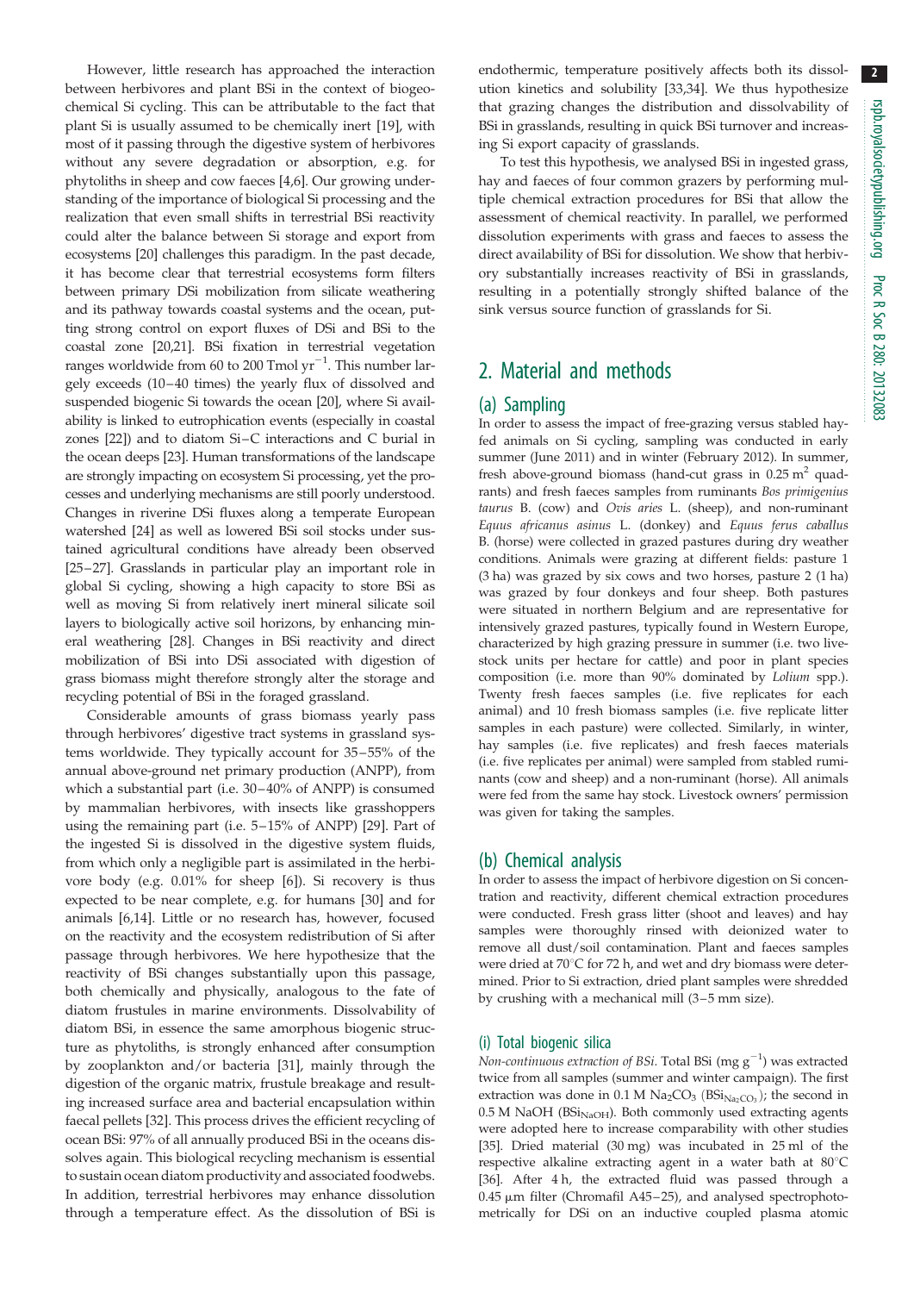However, little research has approached the interaction between herbivores and plant BSi in the context of biogeochemical Si cycling. This can be attributable to the fact that plant Si is usually assumed to be chemically inert [\[19](#page-8-0)], with most of it passing through the digestive system of herbivores without any severe degradation or absorption, e.g. for phytoliths in sheep and cow faeces [[4,6\]](#page-8-0). Our growing understanding of the importance of biological Si processing and the realization that even small shifts in terrestrial BSi reactivity could alter the balance between Si storage and export from ecosystems [\[20](#page-8-0)] challenges this paradigm. In the past decade, it has become clear that terrestrial ecosystems form filters between primary DSi mobilization from silicate weathering and its pathway towards coastal systems and the ocean, putting strong control on export fluxes of DSi and BSi to the coastal zone [\[20,21](#page-8-0)]. BSi fixation in terrestrial vegetation ranges worldwide from 60 to 200  $\mathrm{T}$ mol yr $^{-1}$ . This number largely exceeds (10–40 times) the yearly flux of dissolved and suspended biogenic Si towards the ocean [\[20\]](#page-8-0), where Si availability is linked to eutrophication events (especially in coastal zones [\[22\]](#page-8-0)) and to diatom Si–C interactions and C burial in the ocean deeps [\[23\]](#page-8-0). Human transformations of the landscape are strongly impacting on ecosystem Si processing, yet the processes and underlying mechanisms are still poorly understood. Changes in riverine DSi fluxes along a temperate European watershed [[24\]](#page-8-0) as well as lowered BSi soil stocks under sustained agricultural conditions have already been observed [\[25](#page-8-0)–[27](#page-8-0)]. Grasslands in particular play an important role in global Si cycling, showing a high capacity to store BSi as well as moving Si from relatively inert mineral silicate soil layers to biologically active soil horizons, by enhancing mineral weathering [\[28](#page-8-0)]. Changes in BSi reactivity and direct mobilization of BSi into DSi associated with digestion of grass biomass might therefore strongly alter the storage and recycling potential of BSi in the foraged grassland.

Considerable amounts of grass biomass yearly pass through herbivores' digestive tract systems in grassland systems worldwide. They typically account for 35 –55% of the annual above-ground net primary production (ANPP), from which a substantial part (i.e. 30 –40% of ANPP) is consumed by mammalian herbivores, with insects like grasshoppers using the remaining part (i.e. 5–15% of ANPP) [\[29](#page-8-0)]. Part of the ingested Si is dissolved in the digestive system fluids, from which only a negligible part is assimilated in the herbivore body (e.g. 0.01% for sheep [[6](#page-8-0)]). Si recovery is thus expected to be near complete, e.g. for humans [[30](#page-8-0)] and for animals [\[6,14](#page-8-0)]. Little or no research has, however, focused on the reactivity and the ecosystem redistribution of Si after passage through herbivores. We here hypothesize that the reactivity of BSi changes substantially upon this passage, both chemically and physically, analogous to the fate of diatom frustules in marine environments. Dissolvability of diatom BSi, in essence the same amorphous biogenic structure as phytoliths, is strongly enhanced after consumption by zooplankton and/or bacteria [[31\]](#page-8-0), mainly through the digestion of the organic matrix, frustule breakage and resulting increased surface area and bacterial encapsulation within faecal pellets [[32\]](#page-8-0). This process drives the efficient recycling of ocean BSi: 97% of all annually produced BSi in the oceans dissolves again. This biological recycling mechanism is essential to sustain ocean diatom productivity and associated foodwebs. In addition, terrestrial herbivores may enhance dissolution through a temperature effect. As the dissolution of BSi is endothermic, temperature positively affects both its dissolution kinetics and solubility [[33,34](#page-8-0)]. We thus hypothesize that grazing changes the distribution and dissolvability of BSi in grasslands, resulting in quick BSi turnover and increasing Si export capacity of grasslands.

To test this hypothesis, we analysed BSi in ingested grass, hay and faeces of four common grazers by performing multiple chemical extraction procedures for BSi that allow the assessment of chemical reactivity. In parallel, we performed dissolution experiments with grass and faeces to assess the direct availability of BSi for dissolution. We show that herbivory substantially increases reactivity of BSi in grasslands, resulting in a potentially strongly shifted balance of the sink versus source function of grasslands for Si.

## 2. Material and methods

#### (a) Sampling

In order to assess the impact of free-grazing versus stabled hayfed animals on Si cycling, sampling was conducted in early summer (June 2011) and in winter (February 2012). In summer, fresh above-ground biomass (hand-cut grass in  $0.25 \text{ m}^2$  quadrants) and fresh faeces samples from ruminants Bos primigenius taurus B. (cow) and Ovis aries L. (sheep), and non-ruminant Equus africanus asinus L. (donkey) and Equus ferus caballus B. (horse) were collected in grazed pastures during dry weather conditions. Animals were grazing at different fields: pasture 1 (3 ha) was grazed by six cows and two horses, pasture 2 (1 ha) was grazed by four donkeys and four sheep. Both pastures were situated in northern Belgium and are representative for intensively grazed pastures, typically found in Western Europe, characterized by high grazing pressure in summer (i.e. two livestock units per hectare for cattle) and poor in plant species composition (i.e. more than 90% dominated by Lolium spp.). Twenty fresh faeces samples (i.e. five replicates for each animal) and 10 fresh biomass samples (i.e. five replicate litter samples in each pasture) were collected. Similarly, in winter, hay samples (i.e. five replicates) and fresh faeces materials (i.e. five replicates per animal) were sampled from stabled ruminants (cow and sheep) and a non-ruminant (horse). All animals were fed from the same hay stock. Livestock owners' permission was given for taking the samples.

## (b) Chemical analysis

In order to assess the impact of herbivore digestion on Si concentration and reactivity, different chemical extraction procedures were conducted. Fresh grass litter (shoot and leaves) and hay samples were thoroughly rinsed with deionized water to remove all dust/soil contamination. Plant and faeces samples were dried at 70°C for 72 h, and wet and dry biomass were determined. Prior to Si extraction, dried plant samples were shredded by crushing with a mechanical mill (3-5 mm size).

#### (i) Total biogenic silica

Non-continuous extraction of BSi. Total BSi (mg  $g^{-1}$ ) was extracted twice from all samples (summer and winter campaign). The first extraction was done in  $0.1 M Na<sub>2</sub>CO<sub>3</sub> (BSi<sub>Na<sub>2</sub>CO<sub>3</sub>)</sub>$ ; the second in  $0.5$  M NaOH ( $BSi<sub>NaOH</sub>$ ). Both commonly used extracting agents were adopted here to increase comparability with other studies [[35](#page-8-0)]. Dried material (30 mg) was incubated in 25 ml of the respective alkaline extracting agent in a water bath at  $80^{\circ}$ C [[36](#page-8-0)]. After 4 h, the extracted fluid was passed through a  $0.45 \,\mu m$  filter (Chromafil A45-25), and analysed spectrophotometrically for DSi on an inductive coupled plasma atomic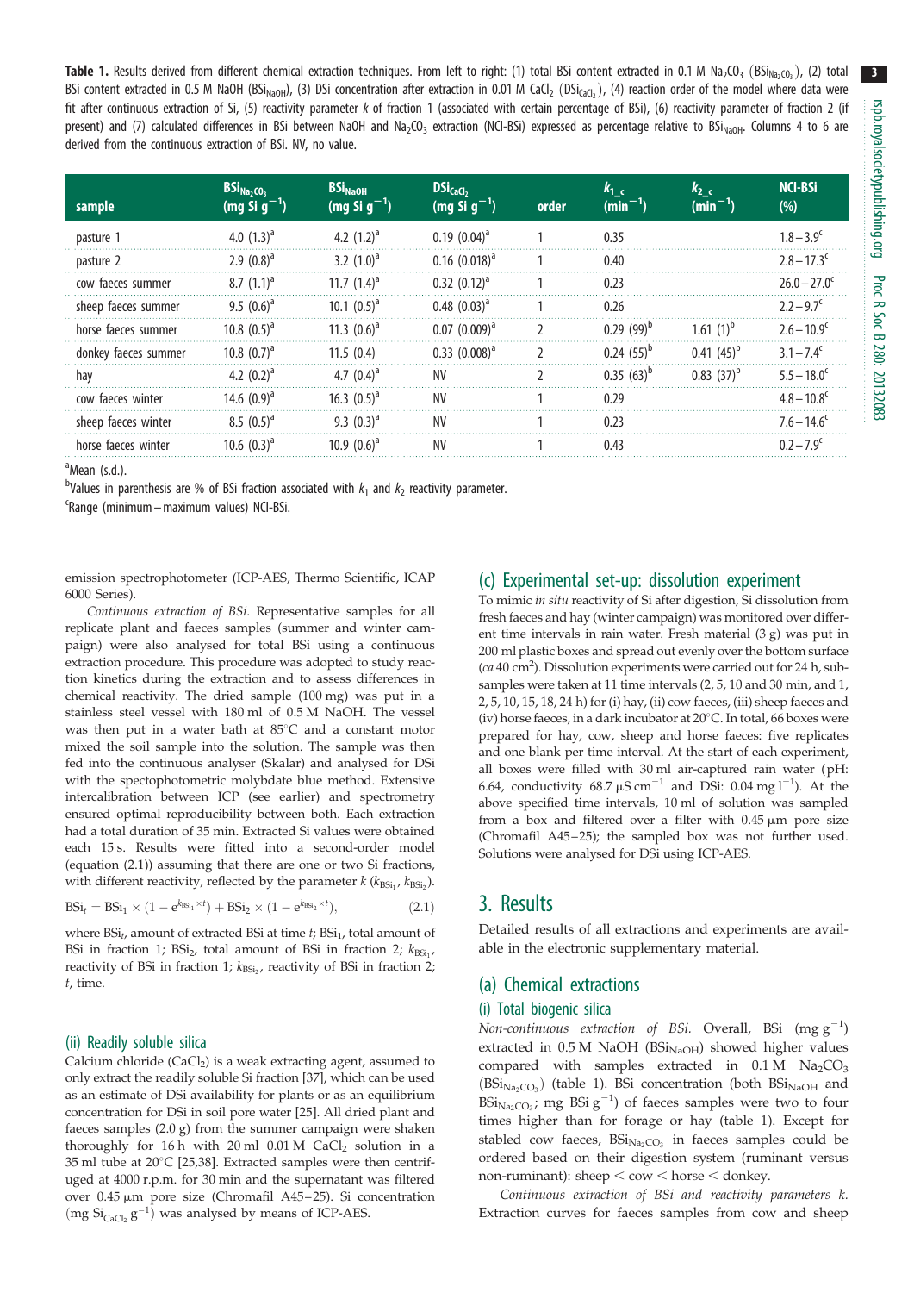<span id="page-3-0"></span>Table 1. Results derived from different chemical extraction techniques. From left to right: (1) total BSi content extracted in 0.1 M Na<sub>2</sub>CO<sub>3</sub> (BSi<sub>Na2CO3</sub>), (2) total BSi content extracted in 0.5 M NaOH (BSi<sub>NaOH</sub>), (3) DSi concentration after extraction in 0.01 M CaCl<sub>2</sub> (DSi<sub>CaCl2</sub>), (4) reaction order of the model where data were fit after continuous extraction of Si, (5) reactivity parameter k of fraction 1 (associated with certain percentage of BSi), (6) reactivity parameter of fraction 2 (if present) and (7) calculated differences in BSi between NaOH and Na<sub>2</sub>CO<sub>3</sub> extraction (NCI-BSi) expressed as percentage relative to BSi<sub>NaOH</sub>. Columns 4 to 6 are derived from the continuous extraction of BSi. NV, no value.

| sample               | BSi <sub>Na<sub>2</sub>CO<sub>3</sub></sub><br>(mg Si $g^{-1}$ ) | <b>BSi<sub>NaOH</sub></b><br>(mg Si $g^{-1}$ ) | DSi <sub>CaCl</sub><br>(mg Si $g^{-1}$ ) | order | $k_{1c}$<br>$(min^{-1})$ | $k_{2c}$<br>$\mathsf{(min}^{-1})$ | <b>NCI-BSi</b><br>(%)     |
|----------------------|------------------------------------------------------------------|------------------------------------------------|------------------------------------------|-------|--------------------------|-----------------------------------|---------------------------|
| pasture 1            | 4.0 $(1.3)^{a}$                                                  | 4.2 $(1.2)^a$                                  | $0.19(0.04)^{d}$                         |       | 0.35                     |                                   | $1.8 - 3.9^c$             |
| pasture 2            | 2.9 $(0.8)^a$                                                    | 3.2 $(1.0)^a$                                  | $0.16(0.018)^{d}$                        |       | 0.40                     |                                   | $2.8 - 17.3$ <sup>c</sup> |
| cow faeces summer    | $8.7$ $(1.1)^a$                                                  | 11.7 $(1.4)^a$                                 | $0.32$ $(0.12)^a$                        |       | 0.23                     |                                   | $26.0 - 27.0^{\circ}$     |
| sheep faeces summer  | 9.5 $(0.6)^a$                                                    | 10.1 $(0.5)^a$                                 | $0.48(0.03)^{a}$                         |       | 0.26                     |                                   | $2.2 - 9.7^{\circ}$       |
| horse faeces summer  | 10.8 $(0.5)^a$                                                   | 11.3 $(0.6)^d$                                 | $0.07$ $(0.009)^{d}$                     |       | $0.29(99)^{p}$           | 1.61 $(1)^{D}$                    | $2.6 - 10.9^{\circ}$      |
| donkey faeces summer | 10.8 $(0.7)^d$                                                   | 11.5(0.4)                                      | $0.33$ $(0.008)^a$                       |       | $0.24$ (55) <sup>b</sup> | $0.41~(45)^{b}$                   | $3.1 - 7.4^c$             |
| hay                  | 4.2 $(0.2)^d$                                                    | 4.7 $(0.4)^a$                                  | <b>NV</b>                                |       | $0.35(63)^{p}$           | $0.83(37)^{p}$                    | $5.5 - 18.0^{\circ}$      |
| cow faeces winter    | 14.6 $(0.9)^d$                                                   | 16.3 $(0.5)^a$                                 | <b>NV</b>                                |       | 0.29                     |                                   | $4.8 - 10.8^{\circ}$      |
| sheep faeces winter  | $8.5(0.5)^{a}$                                                   | 9.3 $(0.3)^a$                                  | <b>NV</b>                                |       | 0.23                     |                                   | $7.6 - 14.6^c$            |
| horse faeces winter  | 10.6 $(0.3)^a$                                                   | $10.9(0.6)^a$                                  | <b>NV</b>                                |       | 0.43                     |                                   | $0.2 - 7.9^{\circ}$       |

<sup>a</sup>Mean (s.d.).

<sup>b</sup>Values in parenthesis are % of BSi fraction associated with  $k_1$  and  $k_2$  reactivity parameter.<br><sup>C</sup>Pango (minimum maximum values) MCL BSi

Range (minimum –maximum values) NCI-BSi.

emission spectrophotometer (ICP-AES, Thermo Scientific, ICAP 6000 Series).

Continuous extraction of BSi. Representative samples for all replicate plant and faeces samples (summer and winter campaign) were also analysed for total BSi using a continuous extraction procedure. This procedure was adopted to study reaction kinetics during the extraction and to assess differences in chemical reactivity. The dried sample (100 mg) was put in a stainless steel vessel with 180 ml of 0.5 M NaOH. The vessel was then put in a water bath at  $85^{\circ}$ C and a constant motor mixed the soil sample into the solution. The sample was then fed into the continuous analyser (Skalar) and analysed for DSi with the spectophotometric molybdate blue method. Extensive intercalibration between ICP (see earlier) and spectrometry ensured optimal reproducibility between both. Each extraction had a total duration of 35 min. Extracted Si values were obtained each 15 s. Results were fitted into a second-order model (equation (2.1)) assuming that there are one or two Si fractions, with different reactivity, reflected by the parameter  $k$  ( $k_{BSi_1}$ ,  $k_{BSi_2}$ ).

$$
BSi_t = BSi_1 \times (1 - e^{k_{BSi_1} \times t}) + BSi_2 \times (1 - e^{k_{BSi_2} \times t}),
$$
\n(2.1)

where  $\text{BSi}_t$ , amount of extracted BSi at time t;  $\text{BSi}_1$ , total amount of BSi in fraction 1; BSi<sub>2</sub>, total amount of BSi in fraction 2;  $k_{BSi}$ , reactivity of BSi in fraction 1;  $k_{BSi}$ , reactivity of BSi in fraction 2; t, time.

#### (ii) Readily soluble silica

Calcium chloride  $(CaCl<sub>2</sub>)$  is a weak extracting agent, assumed to only extract the readily soluble Si fraction [[37](#page-8-0)], which can be used as an estimate of DSi availability for plants or as an equilibrium concentration for DSi in soil pore water [\[25\]](#page-8-0). All dried plant and faeces samples (2.0 g) from the summer campaign were shaken thoroughly for 16 h with 20 ml  $0.01$  M CaCl<sub>2</sub> solution in a 35 ml tube at  $20^{\circ}$ C [[25,38\]](#page-8-0). Extracted samples were then centrifuged at 4000 r.p.m. for 30 min and the supernatant was filtered over  $0.45 \mu m$  pore size (Chromafil A45-25). Si concentration  $(\text{mg Si}_{\text{CaCl}_2} \text{g}^{-1})$  was analysed by means of ICP-AES.

## (c) Experimental set-up: dissolution experiment

To mimic in situ reactivity of Si after digestion, Si dissolution from fresh faeces and hay (winter campaign) was monitored over different time intervals in rain water. Fresh material (3 g) was put in 200 ml plastic boxes and spread out evenly over the bottom surface (ca 40 cm<sup>2</sup>). Dissolution experiments were carried out for 24 h, subsamples were taken at 11 time intervals (2, 5, 10 and 30 min, and 1, 2, 5, 10, 15, 18, 24 h) for (i) hay, (ii) cow faeces, (iii) sheep faeces and (iv) horse faeces, in a dark incubator at  $20^{\circ}$ C. In total, 66 boxes were prepared for hay, cow, sheep and horse faeces: five replicates and one blank per time interval. At the start of each experiment, all boxes were filled with 30 ml air-captured rain water (pH: 6.64, conductivity 68.7  $\mu$ S cm<sup>-1</sup> and DSi: 0.04 mg l<sup>-1</sup>). At the above specified time intervals, 10 ml of solution was sampled from a box and filtered over a filter with  $0.45 \mu m$  pore size (Chromafil A45 –25); the sampled box was not further used. Solutions were analysed for DSi using ICP-AES.

## 3. Results

Detailed results of all extractions and experiments are available in the electronic supplementary material.

#### (a) Chemical extractions

#### (i) Total biogenic silica

Non-continuous extraction of BSi. Overall, BSi  $(mg g^{-1})$ extracted in  $0.5 M$  NaOH (BSi<sub>NaOH</sub>) showed higher values compared with samples extracted in  $0.1 M$   $Na<sub>2</sub>CO<sub>3</sub>$  $(BSi<sub>Na-CO<sub>3</sub>)</sub>$  (table 1). BSi concentration (both  $BSi<sub>NaOH</sub>$  and  $BSi_{Na_2CO_3}$ ; mg  $BSi g^{-1}$ ) of faeces samples were two to four times higher than for forage or hay (table 1). Except for stabled cow faeces,  $BSi<sub>Na<sub>2</sub>CO<sub>3</sub></sub>$  in faeces samples could be ordered based on their digestion system (ruminant versus non-ruminant): sheep  $<$  cow  $<$  horse  $<$  donkey.

Continuous extraction of BSi and reactivity parameters k. Extraction curves for faeces samples from cow and sheep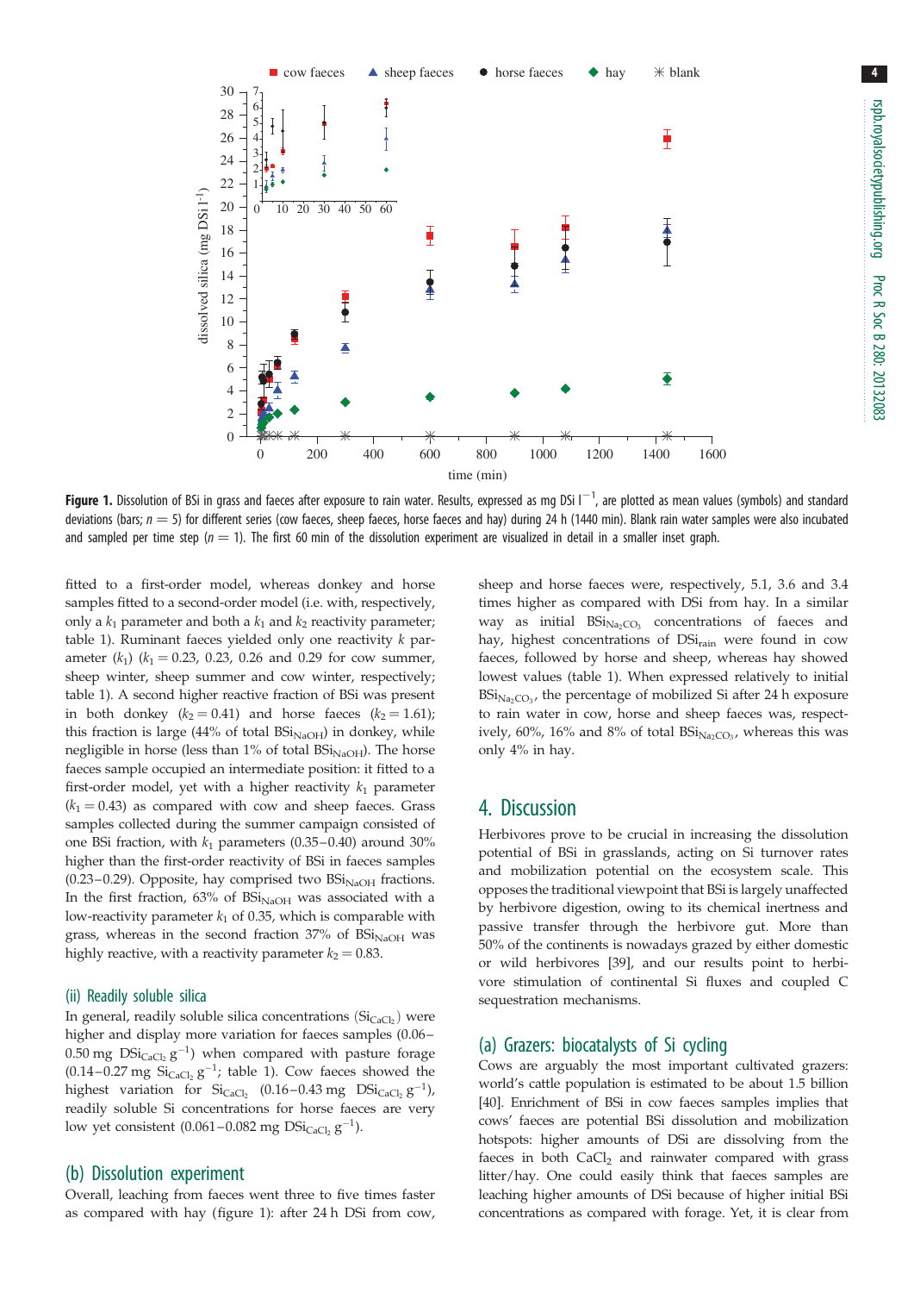

Figure 1. Dissolution of BSi in grass and faeces after exposure to rain water. Results, expressed as mg DSi  $I^{-1}$ , are plotted as mean values (symbols) and standard deviations (bars;  $n = 5$ ) for different series (cow faeces, sheep faeces, horse faeces and hay) during 24 h (1440 min). Blank rain water samples were also incubated and sampled per time step ( $n = 1$ ). The first 60 min of the dissolution experiment are visualized in detail in a smaller inset graph.

fitted to a first-order model, whereas donkey and horse samples fitted to a second-order model (i.e. with, respectively, only a  $k_1$  parameter and both a  $k_1$  and  $k_2$  reactivity parameter; [table 1\)](#page-3-0). Ruminant faeces yielded only one reactivity k parameter  $(k_1)$   $(k_1 = 0.23, 0.23, 0.26, 0.29$  for cow summer, sheep winter, sheep summer and cow winter, respectively; [table 1\)](#page-3-0). A second higher reactive fraction of BSi was present in both donkey ( $k_2 = 0.41$ ) and horse faeces ( $k_2 = 1.61$ ); this fraction is large (44% of total  $BSi<sub>NaOH</sub>$ ) in donkey, while negligible in horse (less than  $1\%$  of total  $BSi_{NaOH}$ ). The horse faeces sample occupied an intermediate position: it fitted to a first-order model, yet with a higher reactivity  $k_1$  parameter  $(k_1 = 0.43)$  as compared with cow and sheep faeces. Grass samples collected during the summer campaign consisted of one BSi fraction, with  $k_1$  parameters (0.35–0.40) around 30% higher than the first-order reactivity of BSi in faeces samples (0.23–0.29). Opposite, hay comprised two  $\text{BSi}_{\text{NaOH}}$  fractions. In the first fraction,  $63\%$  of  $BSi_{NaOH}$  was associated with a low-reactivity parameter  $k_1$  of 0.35, which is comparable with grass, whereas in the second fraction  $37\%$  of  $BSi_{NaOH}$  was highly reactive, with a reactivity parameter  $k_2 = 0.83$ .

#### (ii) Readily soluble silica

In general, readily soluble silica concentrations  $(Si_{CaCb})$  were higher and display more variation for faeces samples (0.06 – 0.50 mg  $DSi_{CaCl<sub>2</sub>} g^{-1}$ ) when compared with pasture forage (0.14–0.27 mg  $\text{Si}_{\text{CaCl}_2} \text{g}^{-1}$ ; [table 1](#page-3-0)). Cow faeces showed the highest variation for  $Si<sub>CaCl<sub>2</sub></sub>$  (0.16–0.43 mg  $DSi<sub>CaCl<sub>2</sub></sub> g<sup>-1</sup>$ ), readily soluble Si concentrations for horse faeces are very low yet consistent (0.061–0.082 mg  $DSi_{CaCl<sub>2</sub>} g^{-1}$ ).

#### (b) Dissolution experiment

Overall, leaching from faeces went three to five times faster as compared with hay (figure 1): after 24 h DSi from cow, sheep and horse faeces were, respectively, 5.1, 3.6 and 3.4 times higher as compared with DSi from hay. In a similar way as initial  $BSi_{Na_2CO_3}$  concentrations of faeces and hay, highest concentrations of DSi<sub>rain</sub> were found in cow faeces, followed by horse and sheep, whereas hay showed lowest values ([table 1](#page-3-0)). When expressed relatively to initial  $BSi<sub>Na</sub>,<sub>CO3</sub>$ , the percentage of mobilized Si after 24 h exposure to rain water in cow, horse and sheep faeces was, respectively, 60%, 16% and 8% of total  $BSi_{Na_2CO_3}$ , whereas this was only 4% in hay.

## 4. Discussion

Herbivores prove to be crucial in increasing the dissolution potential of BSi in grasslands, acting on Si turnover rates and mobilization potential on the ecosystem scale. This opposes the traditional viewpoint that BSi is largely unaffected by herbivore digestion, owing to its chemical inertness and passive transfer through the herbivore gut. More than 50% of the continents is nowadays grazed by either domestic or wild herbivores [\[39](#page-8-0)], and our results point to herbivore stimulation of continental Si fluxes and coupled C sequestration mechanisms.

#### (a) Grazers: biocatalysts of Si cycling

Cows are arguably the most important cultivated grazers: world's cattle population is estimated to be about 1.5 billion [[40](#page-8-0)]. Enrichment of BSi in cow faeces samples implies that cows' faeces are potential BSi dissolution and mobilization hotspots: higher amounts of DSi are dissolving from the faeces in both  $CaCl<sub>2</sub>$  and rainwater compared with grass litter/hay. One could easily think that faeces samples are leaching higher amounts of DSi because of higher initial BSi concentrations as compared with forage. Yet, it is clear from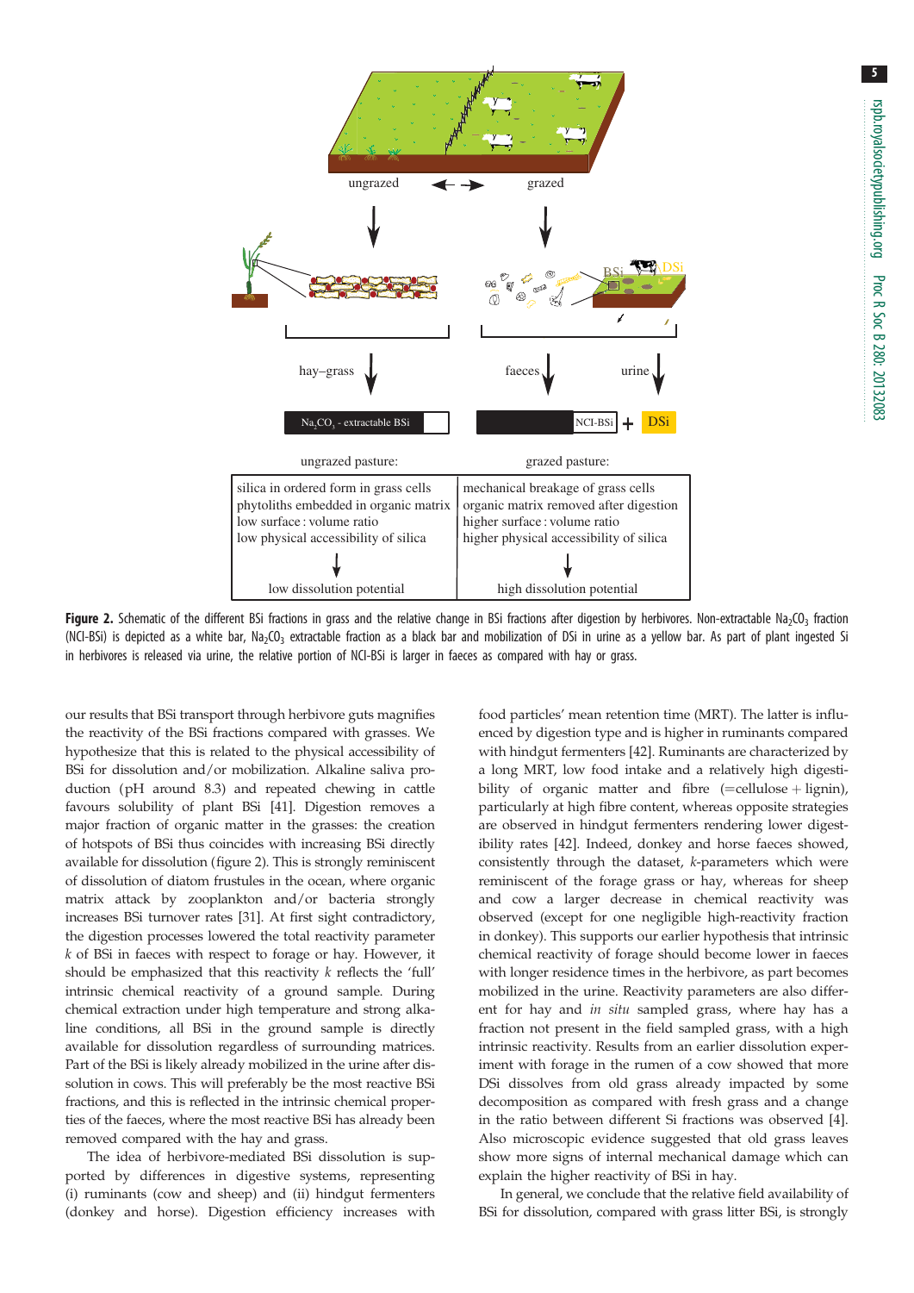

Figure 2. Schematic of the different BSi fractions in grass and the relative change in BSi fractions after digestion by herbivores. Non-extractable Na<sub>2</sub>CO<sub>3</sub> fraction (NCI-BSi) is depicted as a white bar, Na<sub>2</sub>CO<sub>3</sub> extractable fraction as a black bar and mobilization of DSi in urine as a yellow bar. As part of plant ingested Si in herbivores is released via urine, the relative portion of NCI-BSi is larger in faeces as compared with hay or grass.

our results that BSi transport through herbivore guts magnifies the reactivity of the BSi fractions compared with grasses. We hypothesize that this is related to the physical accessibility of BSi for dissolution and/or mobilization. Alkaline saliva production (pH around 8.3) and repeated chewing in cattle favours solubility of plant BSi [\[41\]](#page-8-0). Digestion removes a major fraction of organic matter in the grasses: the creation of hotspots of BSi thus coincides with increasing BSi directly available for dissolution (figure 2). This is strongly reminiscent of dissolution of diatom frustules in the ocean, where organic matrix attack by zooplankton and/or bacteria strongly increases BSi turnover rates [\[31\]](#page-8-0). At first sight contradictory, the digestion processes lowered the total reactivity parameter k of BSi in faeces with respect to forage or hay. However, it should be emphasized that this reactivity  $k$  reflects the 'full' intrinsic chemical reactivity of a ground sample. During chemical extraction under high temperature and strong alkaline conditions, all BSi in the ground sample is directly available for dissolution regardless of surrounding matrices. Part of the BSi is likely already mobilized in the urine after dissolution in cows. This will preferably be the most reactive BSi fractions, and this is reflected in the intrinsic chemical properties of the faeces, where the most reactive BSi has already been removed compared with the hay and grass.

The idea of herbivore-mediated BSi dissolution is supported by differences in digestive systems, representing (i) ruminants (cow and sheep) and (ii) hindgut fermenters (donkey and horse). Digestion efficiency increases with

food particles' mean retention time (MRT). The latter is influenced by digestion type and is higher in ruminants compared with hindgut fermenters [[42\]](#page-8-0). Ruminants are characterized by a long MRT, low food intake and a relatively high digestibility of organic matter and fibre  $(=cellulose + lignin)$ , particularly at high fibre content, whereas opposite strategies are observed in hindgut fermenters rendering lower digestibility rates [[42\]](#page-8-0). Indeed, donkey and horse faeces showed, consistently through the dataset, k-parameters which were reminiscent of the forage grass or hay, whereas for sheep and cow a larger decrease in chemical reactivity was observed (except for one negligible high-reactivity fraction in donkey). This supports our earlier hypothesis that intrinsic chemical reactivity of forage should become lower in faeces with longer residence times in the herbivore, as part becomes mobilized in the urine. Reactivity parameters are also different for hay and in situ sampled grass, where hay has a fraction not present in the field sampled grass, with a high intrinsic reactivity. Results from an earlier dissolution experiment with forage in the rumen of a cow showed that more DSi dissolves from old grass already impacted by some decomposition as compared with fresh grass and a change in the ratio between different Si fractions was observed [\[4\]](#page-8-0). Also microscopic evidence suggested that old grass leaves show more signs of internal mechanical damage which can explain the higher reactivity of BSi in hay.

In general, we conclude that the relative field availability of BSi for dissolution, compared with grass litter BSi, is strongly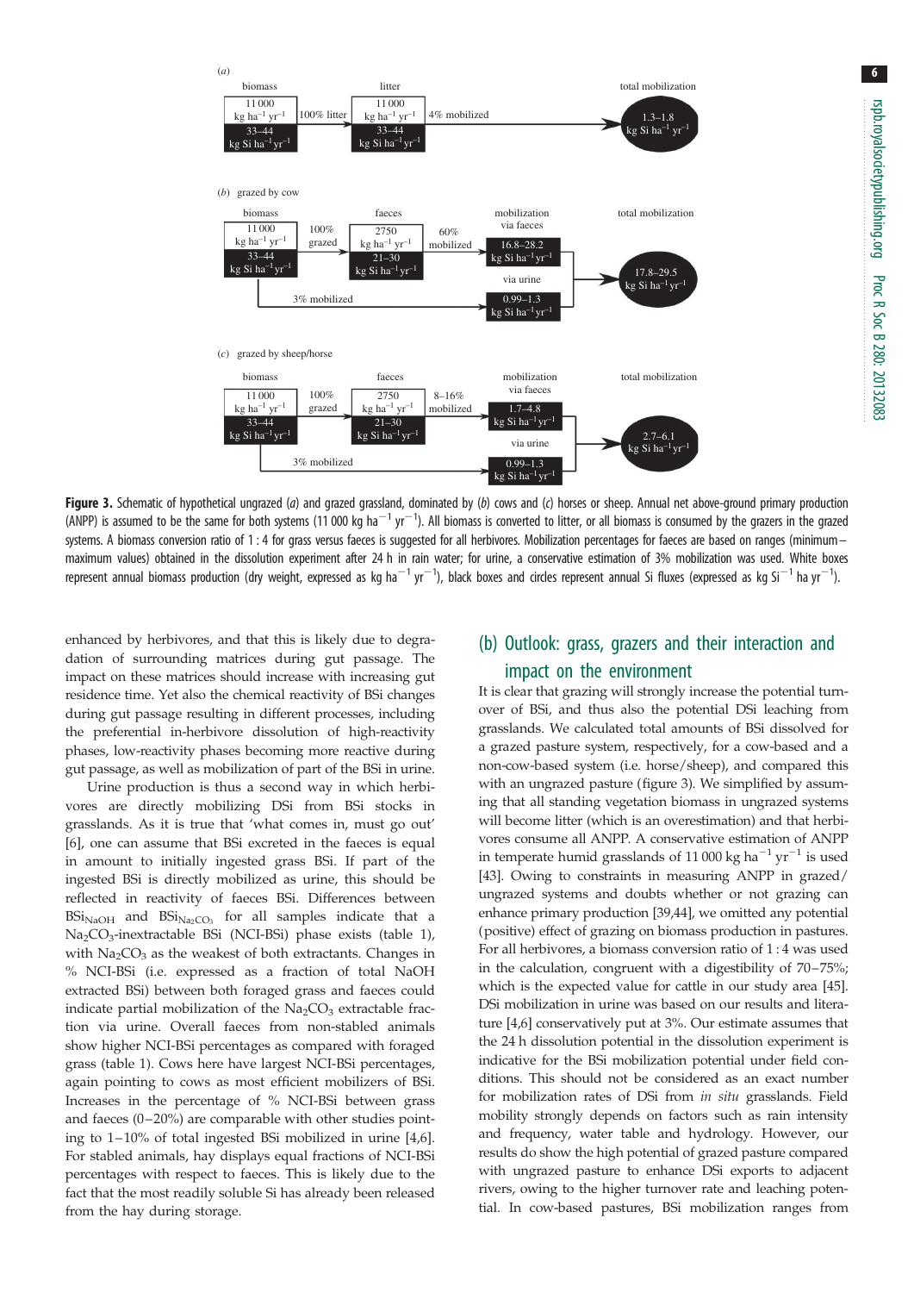

Figure 3. Schematic of hypothetical ungrazed (a) and grazed grassland, dominated by (b) cows and (c) horses or sheep. Annual net above-ground primary production (ANPP) is assumed to be the same for both systems (11 000 kg ha<sup>-1</sup> yr<sup>-1</sup>). All biomass is converted to litter, or all biomass is consumed by the grazers in the grazed systems. A biomass conversion ratio of 1:4 for grass versus faeces is suggested for all herbivores. Mobilization percentages for faeces are based on ranges (minimum– maximum values) obtained in the dissolution experiment after 24 h in rain water; for urine, a conservative estimation of 3% mobilization was used. White boxes represent annual biomass production (dry weight, expressed as kg ha $^{-1}$  yr $^{-1}$ ), black boxes and circles represent annual Si fluxes (expressed as kg Si $^{-1}$  ha yr $^{-1}$ ).

enhanced by herbivores, and that this is likely due to degradation of surrounding matrices during gut passage. The impact on these matrices should increase with increasing gut residence time. Yet also the chemical reactivity of BSi changes during gut passage resulting in different processes, including the preferential in-herbivore dissolution of high-reactivity phases, low-reactivity phases becoming more reactive during gut passage, as well as mobilization of part of the BSi in urine.

Urine production is thus a second way in which herbivores are directly mobilizing DSi from BSi stocks in grasslands. As it is true that 'what comes in, must go out' [\[6\]](#page-8-0), one can assume that BSi excreted in the faeces is equal in amount to initially ingested grass BSi. If part of the ingested BSi is directly mobilized as urine, this should be reflected in reactivity of faeces BSi. Differences between  $BSi_{NaOH}$  and  $BSi_{Na_2CO_2}$  for all samples indicate that a Na<sub>2</sub>CO<sub>3</sub>-inextractable BSi (NCI-BSi) phase exists ([table 1](#page-3-0)), with  $Na<sub>2</sub>CO<sub>3</sub>$  as the weakest of both extractants. Changes in % NCI-BSi (i.e. expressed as a fraction of total NaOH extracted BSi) between both foraged grass and faeces could indicate partial mobilization of the  $Na<sub>2</sub>CO<sub>3</sub>$  extractable fraction via urine. Overall faeces from non-stabled animals show higher NCI-BSi percentages as compared with foraged grass ([table 1](#page-3-0)). Cows here have largest NCI-BSi percentages, again pointing to cows as most efficient mobilizers of BSi. Increases in the percentage of % NCI-BSi between grass and faeces  $(0-20%)$  are comparable with other studies pointing to 1–10% of total ingested BSi mobilized in urine [\[4,6](#page-8-0)]. For stabled animals, hay displays equal fractions of NCI-BSi percentages with respect to faeces. This is likely due to the fact that the most readily soluble Si has already been released from the hay during storage.

## (b) Outlook: grass, grazers and their interaction and impact on the environment

It is clear that grazing will strongly increase the potential turnover of BSi, and thus also the potential DSi leaching from grasslands. We calculated total amounts of BSi dissolved for a grazed pasture system, respectively, for a cow-based and a non-cow-based system (i.e. horse/sheep), and compared this with an ungrazed pasture (figure 3). We simplified by assuming that all standing vegetation biomass in ungrazed systems will become litter (which is an overestimation) and that herbivores consume all ANPP. A conservative estimation of ANPP in temperate humid grasslands of 11 000 kg ha<sup>-1</sup> yr<sup>-1</sup> is used [[43](#page-8-0)]. Owing to constraints in measuring ANPP in grazed/ ungrazed systems and doubts whether or not grazing can enhance primary production [\[39,44\]](#page-8-0), we omitted any potential (positive) effect of grazing on biomass production in pastures. For all herbivores, a biomass conversion ratio of 1 : 4 was used in the calculation, congruent with a digestibility of 70–75%; which is the expected value for cattle in our study area [[45\]](#page-8-0). DSi mobilization in urine was based on our results and literature [[4,6\]](#page-8-0) conservatively put at 3%. Our estimate assumes that the 24 h dissolution potential in the dissolution experiment is indicative for the BSi mobilization potential under field conditions. This should not be considered as an exact number for mobilization rates of DSi from in situ grasslands. Field mobility strongly depends on factors such as rain intensity and frequency, water table and hydrology. However, our results do show the high potential of grazed pasture compared with ungrazed pasture to enhance DSi exports to adjacent rivers, owing to the higher turnover rate and leaching potential. In cow-based pastures, BSi mobilization ranges from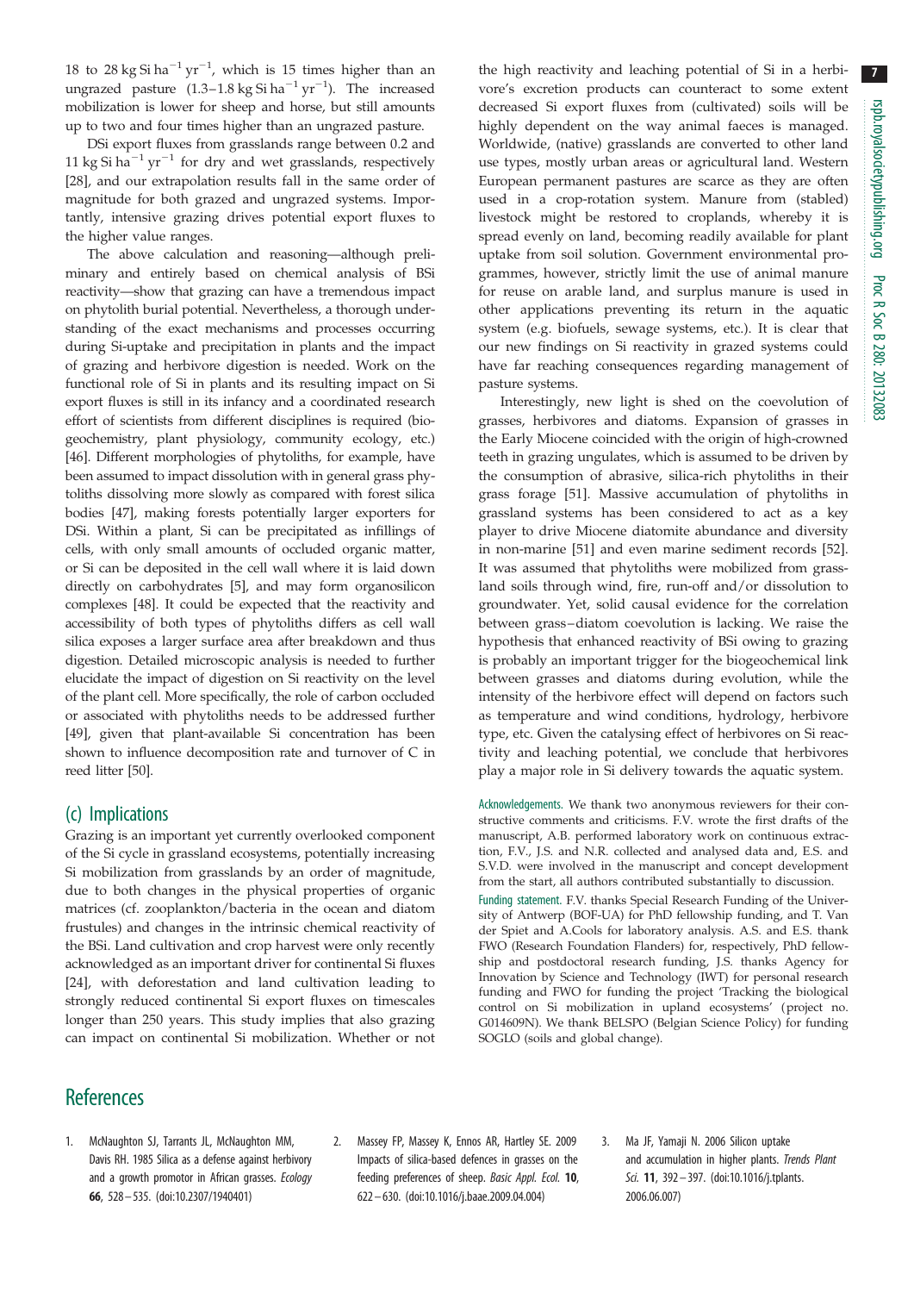<span id="page-7-0"></span>18 to 28 kg Si ha<sup>-1</sup> yr<sup>-1</sup>, which is 15 times higher than an ungrazed pasture  $(1.3-1.8 \text{ kg Si ha}^{-1} \text{ yr}^{-1})$ . The increased mobilization is lower for sheep and horse, but still amounts up to two and four times higher than an ungrazed pasture.

DSi export fluxes from grasslands range between 0.2 and 11 kg Si ha<sup> $-1$ </sup> yr<sup> $-1$ </sup> for dry and wet grasslands, respectively [\[28](#page-8-0)], and our extrapolation results fall in the same order of magnitude for both grazed and ungrazed systems. Importantly, intensive grazing drives potential export fluxes to the higher value ranges.

The above calculation and reasoning—although preliminary and entirely based on chemical analysis of BSi reactivity—show that grazing can have a tremendous impact on phytolith burial potential. Nevertheless, a thorough understanding of the exact mechanisms and processes occurring during Si-uptake and precipitation in plants and the impact of grazing and herbivore digestion is needed. Work on the functional role of Si in plants and its resulting impact on Si export fluxes is still in its infancy and a coordinated research effort of scientists from different disciplines is required (biogeochemistry, plant physiology, community ecology, etc.) [\[46](#page-8-0)]. Different morphologies of phytoliths, for example, have been assumed to impact dissolution with in general grass phytoliths dissolving more slowly as compared with forest silica bodies [\[47](#page-9-0)], making forests potentially larger exporters for DSi. Within a plant, Si can be precipitated as infillings of cells, with only small amounts of occluded organic matter, or Si can be deposited in the cell wall where it is laid down directly on carbohydrates [[5](#page-8-0)], and may form organosilicon complexes [[48](#page-9-0)]. It could be expected that the reactivity and accessibility of both types of phytoliths differs as cell wall silica exposes a larger surface area after breakdown and thus digestion. Detailed microscopic analysis is needed to further elucidate the impact of digestion on Si reactivity on the level of the plant cell. More specifically, the role of carbon occluded or associated with phytoliths needs to be addressed further [\[49](#page-9-0)], given that plant-available Si concentration has been shown to influence decomposition rate and turnover of C in reed litter [\[50\]](#page-9-0).

#### (c) Implications

Grazing is an important yet currently overlooked component of the Si cycle in grassland ecosystems, potentially increasing Si mobilization from grasslands by an order of magnitude, due to both changes in the physical properties of organic matrices (cf. zooplankton/bacteria in the ocean and diatom frustules) and changes in the intrinsic chemical reactivity of the BSi. Land cultivation and crop harvest were only recently acknowledged as an important driver for continental Si fluxes [\[24](#page-8-0)], with deforestation and land cultivation leading to strongly reduced continental Si export fluxes on timescales longer than 250 years. This study implies that also grazing can impact on continental Si mobilization. Whether or not the high reactivity and leaching potential of Si in a herbivore's excretion products can counteract to some extent decreased Si export fluxes from (cultivated) soils will be highly dependent on the way animal faeces is managed. Worldwide, (native) grasslands are converted to other land use types, mostly urban areas or agricultural land. Western European permanent pastures are scarce as they are often used in a crop-rotation system. Manure from (stabled) livestock might be restored to croplands, whereby it is spread evenly on land, becoming readily available for plant uptake from soil solution. Government environmental programmes, however, strictly limit the use of animal manure for reuse on arable land, and surplus manure is used in other applications preventing its return in the aquatic system (e.g. biofuels, sewage systems, etc.). It is clear that our new findings on Si reactivity in grazed systems could have far reaching consequences regarding management of pasture systems.

Interestingly, new light is shed on the coevolution of grasses, herbivores and diatoms. Expansion of grasses in the Early Miocene coincided with the origin of high-crowned teeth in grazing ungulates, which is assumed to be driven by the consumption of abrasive, silica-rich phytoliths in their grass forage [[51\]](#page-9-0). Massive accumulation of phytoliths in grassland systems has been considered to act as a key player to drive Miocene diatomite abundance and diversity in non-marine [[51\]](#page-9-0) and even marine sediment records [[52\]](#page-9-0). It was assumed that phytoliths were mobilized from grassland soils through wind, fire, run-off and/or dissolution to groundwater. Yet, solid causal evidence for the correlation between grass-diatom coevolution is lacking. We raise the hypothesis that enhanced reactivity of BSi owing to grazing is probably an important trigger for the biogeochemical link between grasses and diatoms during evolution, while the intensity of the herbivore effect will depend on factors such as temperature and wind conditions, hydrology, herbivore type, etc. Given the catalysing effect of herbivores on Si reactivity and leaching potential, we conclude that herbivores play a major role in Si delivery towards the aquatic system.

Acknowledgements. We thank two anonymous reviewers for their constructive comments and criticisms. F.V. wrote the first drafts of the manuscript, A.B. performed laboratory work on continuous extraction, F.V., J.S. and N.R. collected and analysed data and, E.S. and S.V.D. were involved in the manuscript and concept development from the start, all authors contributed substantially to discussion.

Funding statement. F.V. thanks Special Research Funding of the University of Antwerp (BOF-UA) for PhD fellowship funding, and T. Van der Spiet and A.Cools for laboratory analysis. A.S. and E.S. thank FWO (Research Foundation Flanders) for, respectively, PhD fellowship and postdoctoral research funding, J.S. thanks Agency for Innovation by Science and Technology (IWT) for personal research funding and FWO for funding the project 'Tracking the biological control on Si mobilization in upland ecosystems' (project no. G014609N). We thank BELSPO (Belgian Science Policy) for funding SOGLO (soils and global change).

## **References**

- 1. McNaughton SJ, Tarrants JL, McNaughton MM, Davis RH. 1985 Silica as a defense against herbivory and a growth promotor in African grasses. Ecology 66, 528– 535. ([doi:10.2307/1940401\)](http://dx.doi.org/10.2307/1940401)
- 2. Massey FP, Massey K, Ennos AR, Hartley SE. 2009 Impacts of silica-based defences in grasses on the feeding preferences of sheep. Basic Appl. Ecol. 10, 622 – 630. [\(doi:10.1016/j.baae.2009.04.004\)](http://dx.doi.org/10.1016/j.baae.2009.04.004)
- 3. Ma JF, Yamaji N. 2006 Silicon uptake and accumulation in higher plants. Trends Plant Sci. 11, 392-397. [\(doi:10.1016/j.tplants.](http://dx.doi.org/10.1016/j.tplants.2006.06.007) [2006.06.007](http://dx.doi.org/10.1016/j.tplants.2006.06.007))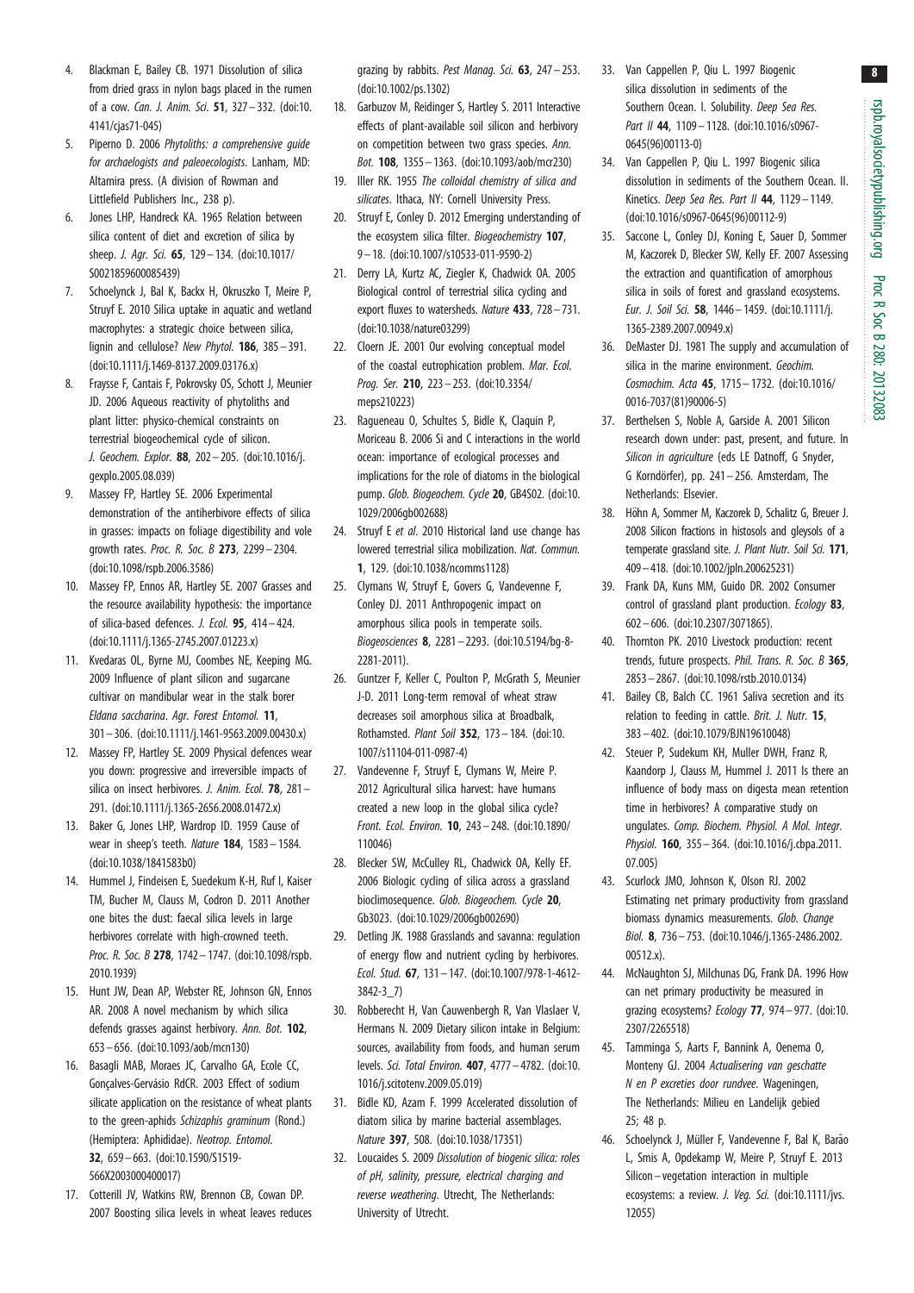- <span id="page-8-0"></span>4. Blackman E, Bailey CB. 1971 Dissolution of silica from dried grass in nylon bags placed in the rumen of a cow. Can. J. Anim. Sci. 51, 327– 332. ([doi:10.](http://dx.doi.org/10.4141/cjas71-045) [4141/cjas71-045](http://dx.doi.org/10.4141/cjas71-045))
- 5. Piperno D. 2006 Phytoliths: a comprehensive guide for archaelogists and paleoecologists. Lanham, MD: Altamira press. (A division of Rowman and Littlefield Publishers Inc., 238 p).
- 6. Jones LHP, Handreck KA. 1965 Relation between silica content of diet and excretion of silica by sheep. *J. Agr. Sci.* **65**, 129 – 134. [\(doi:10.1017/](http://dx.doi.org/10.1017/S0021859600085439) [S0021859600085439](http://dx.doi.org/10.1017/S0021859600085439))
- 7. Schoelynck J, Bal K, Backx H, Okruszko T, Meire P, Struyf E. 2010 Silica uptake in aquatic and wetland macrophytes: a strategic choice between silica, lignin and cellulose? New Phytol. 186, 385 – 391. [\(doi:10.1111/j.1469-8137.2009.03176.x](http://dx.doi.org/10.1111/j.1469-8137.2009.03176.x))
- 8. Fraysse F, Cantais F, Pokrovsky OS, Schott J, Meunier JD. 2006 Aqueous reactivity of phytoliths and plant litter: physico-chemical constraints on terrestrial biogeochemical cycle of silicon. J. Geochem. Explor. 88, 202– 205. ([doi:10.1016/j.](http://dx.doi.org/10.1016/j.gexplo.2005.08.039) [gexplo.2005.08.039\)](http://dx.doi.org/10.1016/j.gexplo.2005.08.039)
- 9. Massey FP, Hartley SE. 2006 Experimental demonstration of the antiherbivore effects of silica in grasses: impacts on foliage digestibility and vole growth rates. Proc. R. Soc. B 273, 2299 – 2304. [\(doi:10.1098/rspb.2006.3586](http://dx.doi.org/10.1098/rspb.2006.3586))
- 10. Massey FP, Ennos AR, Hartley SE. 2007 Grasses and the resource availability hypothesis: the importance of silica-based defences. J. Ecol. 95, 414– 424. [\(doi:10.1111/j.1365-2745.2007.01223.x](http://dx.doi.org/10.1111/j.1365-2745.2007.01223.x))
- 11. Kvedaras OL, Byrne MJ, Coombes NE, Keeping MG. 2009 Influence of plant silicon and sugarcane cultivar on mandibular wear in the stalk borer Eldana saccharina. Agr. Forest Entomol. 11, 301– 306. ([doi:10.1111/j.1461-9563.2009.00430.x](http://dx.doi.org/10.1111/j.1461-9563.2009.00430.x))
- 12. Massey FP, Hartley SE. 2009 Physical defences wear you down: progressive and irreversible impacts of silica on insect herbivores. *J. Anim. Ecol.* **78**, 281-291. [\(doi:10.1111/j.1365-2656.2008.01472.x\)](http://dx.doi.org/10.1111/j.1365-2656.2008.01472.x)
- 13. Baker G, Jones LHP, Wardrop ID. 1959 Cause of wear in sheep's teeth. Nature 184, 1583– 1584. [\(doi:10.1038/1841583b0](http://dx.doi.org/10.1038/1841583b0))
- 14. Hummel J, Findeisen E, Suedekum K-H, Ruf I, Kaiser TM, Bucher M, Clauss M, Codron D. 2011 Another one bites the dust: faecal silica levels in large herbivores correlate with high-crowned teeth. Proc. R. Soc. B 278, 1742– 1747. [\(doi:10.1098/rspb.](http://dx.doi.org/10.1098/rspb.2010.1939) [2010.1939\)](http://dx.doi.org/10.1098/rspb.2010.1939)
- 15. Hunt JW, Dean AP, Webster RE, Johnson GN, Ennos AR. 2008 A novel mechanism by which silica defends grasses against herbivory. Ann. Bot. 102, 653– 656. ([doi:10.1093/aob/mcn130](http://dx.doi.org/10.1093/aob/mcn130))
- 16. Basagli MAB, Moraes JC, Carvalho GA, Ecole CC, Gonçalves-Gervásio RdCR. 2003 Effect of sodium silicate application on the resistance of wheat plants to the green-aphids Schizaphis graminum (Rond.) (Hemiptera: Aphididae). Neotrop. Entomol. 32, 659– 663. ([doi:10.1590/S1519-](http://dx.doi.org/10.1590/S1519-566X2003000400017) [566X2003000400017\)](http://dx.doi.org/10.1590/S1519-566X2003000400017)
- 17. Cotterill JV, Watkins RW, Brennon CB, Cowan DP. 2007 Boosting silica levels in wheat leaves reduces

grazing by rabbits. Pest Manag. Sci.  $63$ ,  $247 - 253$ . [\(doi:10.1002/ps.1302\)](http://dx.doi.org/10.1002/ps.1302)

- 18. Garbuzov M, Reidinger S, Hartley S. 2011 Interactive effects of plant-available soil silicon and herbivory on competition between two grass species. Ann. Bot. 108, 1355 – 1363. ([doi:10.1093/aob/mcr230](http://dx.doi.org/10.1093/aob/mcr230))
- 19. Iller RK. 1955 The colloidal chemistry of silica and silicates. Ithaca, NY: Cornell University Press.
- 20. Struyf E, Conley D. 2012 Emerging understanding of the ecosystem silica filter. Biogeochemistry 107, 9 – 18. [\(doi:10.1007/s10533-011-9590-2\)](http://dx.doi.org/10.1007/s10533-011-9590-2)
- 21. Derry LA, Kurtz AC, Ziegler K, Chadwick OA. 2005 Biological control of terrestrial silica cycling and export fluxes to watersheds. Nature 433, 728-731. [\(doi:10.1038/nature03299](http://dx.doi.org/10.1038/nature03299))
- 22. Cloern JE. 2001 Our evolving conceptual model of the coastal eutrophication problem. Mar. Ecol. Prog. Ser. 210, 223– 253. [\(doi:10.3354/](http://dx.doi.org/10.3354/meps210223) [meps210223\)](http://dx.doi.org/10.3354/meps210223)
- 23. Ragueneau O, Schultes S, Bidle K, Claquin P, Moriceau B. 2006 Si and C interactions in the world ocean: importance of ecological processes and implications for the role of diatoms in the biological pump. Glob. Biogeochem. Cycle 20, GB4S02. [\(doi:10.](http://dx.doi.org/10.1029/2006gb002688) [1029/2006gb002688\)](http://dx.doi.org/10.1029/2006gb002688)
- 24. Struyf E et al. 2010 Historical land use change has lowered terrestrial silica mobilization. Nat. Commun. 1, 129. [\(doi:10.1038/ncomms1128\)](http://dx.doi.org/10.1038/ncomms1128)
- 25. Clymans W, Struyf E, Govers G, Vandevenne F, Conley DJ. 2011 Anthropogenic impact on amorphous silica pools in temperate soils. Biogeosciences 8, 2281– 2293. ([doi:10.5194/bg-8-](http://dx.doi.org/10.5194/bg-8-2281-2011) [2281-2011](http://dx.doi.org/10.5194/bg-8-2281-2011)).
- 26. Guntzer F, Keller C, Poulton P, McGrath S, Meunier J-D. 2011 Long-term removal of wheat straw decreases soil amorphous silica at Broadbalk, Rothamsted. Plant Soil 352, 173– 184. [\(doi:10.](http://dx.doi.org/10.1007/s11104-011-0987-4) [1007/s11104-011-0987-4\)](http://dx.doi.org/10.1007/s11104-011-0987-4)
- 27. Vandevenne F, Struyf E, Clymans W, Meire P. 2012 Agricultural silica harvest: have humans created a new loop in the global silica cycle? Front. Ecol. Environ. 10, 243 – 248. [\(doi:10.1890/](http://dx.doi.org/10.1890/110046) [110046](http://dx.doi.org/10.1890/110046))
- 28. Blecker SW, McCulley RL, Chadwick OA, Kelly EF. 2006 Biologic cycling of silica across a grassland bioclimosequence. Glob. Biogeochem. Cycle 20, Gb3023. ([doi:10.1029/2006gb002690](http://dx.doi.org/10.1029/2006gb002690))
- 29. Detling JK. 1988 Grasslands and savanna: regulation of energy flow and nutrient cycling by herbivores. Ecol. Stud. 67, 131– 147. [\(doi:10.1007/978-1-4612-](http://dx.doi.org/10.1007/978-1-4612-3842-3_7) [3842-3\\_7](http://dx.doi.org/10.1007/978-1-4612-3842-3_7))
- 30. Robberecht H, Van Cauwenbergh R, Van Vlaslaer V, Hermans N. 2009 Dietary silicon intake in Belgium: sources, availability from foods, and human serum levels. Sci. Total Environ. 407, 4777– 4782. [\(doi:10.](http://dx.doi.org/10.1016/j.scitotenv.2009.05.019) [1016/j.scitotenv.2009.05.019](http://dx.doi.org/10.1016/j.scitotenv.2009.05.019))
- 31. Bidle KD, Azam F. 1999 Accelerated dissolution of diatom silica by marine bacterial assemblages. Nature 397, 508. ([doi:10.1038/17351](http://dx.doi.org/10.1038/17351))
- 32. Loucaides S. 2009 Dissolution of biogenic silica: roles of pH, salinity, pressure, electrical charging and reverse weathering. Utrecht, The Netherlands: University of Utrecht.
- 33. Van Cappellen P, Qiu L. 1997 Biogenic silica dissolution in sediments of the Southern Ocean. I. Solubility. Deep Sea Res. Part II 44, 1109-1128. ([doi:10.1016/s0967-](http://dx.doi.org/10.1016/s0967-0645(96)00113-0) [0645\(96\)00113-0](http://dx.doi.org/10.1016/s0967-0645(96)00113-0))
- 34. Van Cappellen P, Qiu L. 1997 Biogenic silica dissolution in sediments of the Southern Ocean. II. Kinetics. Deep Sea Res. Part II 44, 1129 – 1149. ([doi:10.1016/s0967-0645\(96\)00112-9](http://dx.doi.org/10.1016/s0967-0645(96)00112-9))
- 35. Saccone L, Conley DJ, Koning E, Sauer D, Sommer M, Kaczorek D, Blecker SW, Kelly EF. 2007 Assessing the extraction and quantification of amorphous silica in soils of forest and grassland ecosystems. Eur. J. Soil Sci. 58, 1446– 1459. ([doi:10.1111/j.](http://dx.doi.org/10.1111/j.1365-2389.2007.00949.x) [1365-2389.2007.00949.x\)](http://dx.doi.org/10.1111/j.1365-2389.2007.00949.x)
- 36. DeMaster DJ. 1981 The supply and accumulation of silica in the marine environment. Geochim. Cosmochim. Acta 45, 1715 – 1732. ([doi:10.1016/](http://dx.doi.org/10.1016/0016-7037(81)90006-5) [0016-7037\(81\)90006-5](http://dx.doi.org/10.1016/0016-7037(81)90006-5))
- 37. Berthelsen S, Noble A, Garside A. 2001 Silicon research down under: past, present, and future. In Silicon in agriculture (eds LE Datnoff, G Snyder, G Korndörfer), pp. 241–256. Amsterdam, The Netherlands: Elsevier.
- 38. Höhn A, Sommer M, Kaczorek D, Schalitz G, Breuer J. 2008 Silicon fractions in histosols and gleysols of a temperate grassland site. J. Plant Nutr. Soil Sci. 171, 409–418. [\(doi:10.1002/jpln.200625231](http://dx.doi.org/10.1002/jpln.200625231))
- 39. Frank DA, Kuns MM, Guido DR. 2002 Consumer control of grassland plant production. *Ecology* 83, 602– 606. [\(doi:10.2307/3071865](http://dx.doi.org/10.2307/3071865)).
- 40. Thornton PK. 2010 Livestock production: recent trends, future prospects. Phil. Trans. R. Soc. B 365, 2853– 2867. ([doi:10.1098/rstb.2010.0134](http://dx.doi.org/10.1098/rstb.2010.0134))
- 41. Bailey CB, Balch CC. 1961 Saliva secretion and its relation to feeding in cattle. Brit. J. Nutr. 15, 383– 402. [\(doi:10.1079/BJN19610048\)](http://dx.doi.org/10.1079/BJN19610048)
- 42. Steuer P, Sudekum KH, Muller DWH, Franz R, Kaandorp J, Clauss M, Hummel J. 2011 Is there an influence of body mass on digesta mean retention time in herbivores? A comparative study on ungulates. Comp. Biochem. Physiol. A Mol. Integr. Physiol. 160, 355– 364. ([doi:10.1016/j.cbpa.2011.](http://dx.doi.org/10.1016/j.cbpa.2011.07.005) [07.005](http://dx.doi.org/10.1016/j.cbpa.2011.07.005))
- 43. Scurlock JMO, Johnson K, Olson RJ. 2002 Estimating net primary productivity from grassland biomass dynamics measurements. Glob. Change Biol. 8, 736 – 753. [\(doi:10.1046/j.1365-2486.2002.](http://dx.doi.org/10.1046/j.1365-2486.2002.00512.x) [00512.x](http://dx.doi.org/10.1046/j.1365-2486.2002.00512.x)).
- 44. McNaughton SJ, Milchunas DG, Frank DA. 1996 How can net primary productivity be measured in grazing ecosystems? Ecology 77, 974– 977. [\(doi:10.](http://dx.doi.org/10.2307/2265518) [2307/2265518](http://dx.doi.org/10.2307/2265518))
- 45. Tamminga S, Aarts F, Bannink A, Oenema O, Monteny GJ. 2004 Actualisering van geschatte N en P excreties door rundvee. Wageningen, The Netherlands: Milieu en Landelijk gebied 25; 48 p.
- 46. Schoelynck J, Müller F, Vandevenne F, Bal K, Barão L, Smis A, Opdekamp W, Meire P, Struyf E. 2013 Silicon– vegetation interaction in multiple ecosystems: a review. J. Veg. Sci. ([doi:10.1111/jvs.](http://dx.doi.org/10.1111/jvs.12055) [12055\)](http://dx.doi.org/10.1111/jvs.12055)